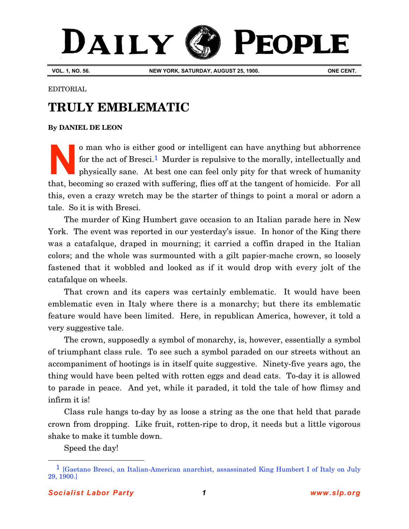## DAILY **PEOPLE**

**VOL. 1, NO. 56. NEW YORK, SATURDAY, AUGUST 25, 1900. ONE CENT.**

EDITORIAL

## **TRULY EMBLEMATIC**

**[By DANIEL DE LEON](http://www.slp.org/De_Leon.htm)**

o man who is either good or intelligent can have anything but abhorrence for the act of Bresci.<sup>1</sup> Murder is repulsive to the morally, intellectually and physically sane. At best one can feel only pity for that wreck of humanity that, becoming so crazed with suffering, flies off at the tangent of homicide. For all this, even a crazy wretch may be the starter of things to point a moral or adorn a tale. So it is with Bresci. **N**

The murder of [King Humbert](http://www.explore-biography.com/political_figures/U/Umberto_I_of_Italy.html) gave occasion to an Italian parade here in New York. The event was reported in our yesterday's issue. In honor of the King there was a catafalque, draped in mourning; it carried a coffin draped in the Italian colors; and the whole was surmounted with a gilt papier-mache crown, so loosely fastened that it wobbled and looked as if it would drop with every jolt of the catafalque on wheels.

That crown and its capers was certainly emblematic. It would have been emblematic even in Italy where there is a monarchy; but there its emblematic feature would have been limited. Here, in republican America, however, it told a very suggestive tale.

The crown, supposedly a symbol of monarchy, is, however, essentially a symbol of triumphant class rule. To see such a symbol paraded on our streets without an accompaniment of hootings is in itself quite suggestive. Ninety-five years ago, the thing would have been pelted with rotten eggs and dead cats. To-day it is allowed to parade in peace. And yet, while it paraded, it told the tale of how flimsy and infirm it is!

Class rule hangs to-day by as loose a string as the one that held that parade crown from dropping. Like fruit, rotten-ripe to drop, it needs but a little vigorous shake to make it tumble down.

Speed the day!

 $\overline{a}$ 

<sup>1</sup> [\[Gaetano Bresci, an Italian-American anarchist, assassinated King Humbert I of Italy on July](http://www.explore-biography.com/political_figures/G/Gaetano_Bresci.html) 29, 1900.]